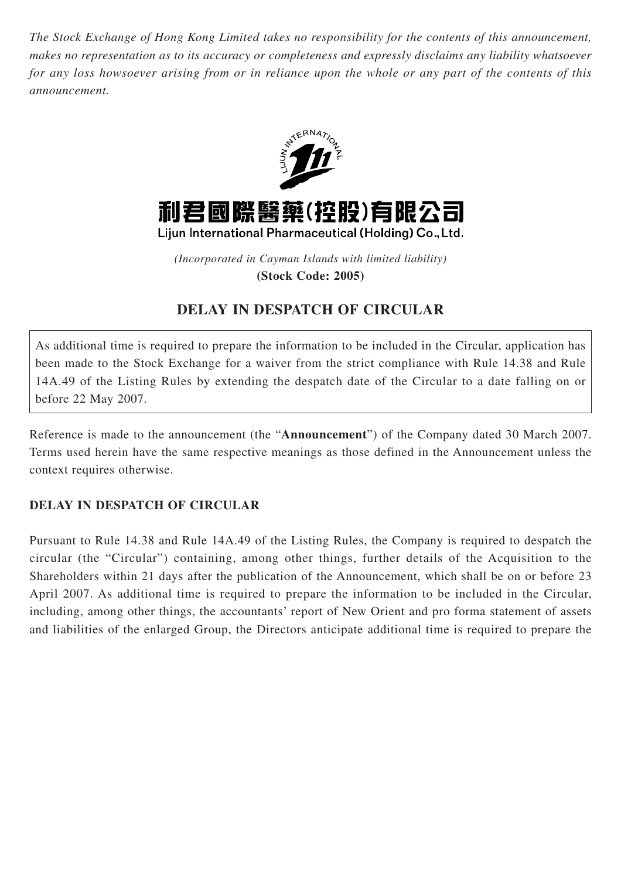*The Stock Exchange of Hong Kong Limited takes no responsibility for the contents of this announcement, makes no representation as to its accuracy or completeness and expressly disclaims any liability whatsoever for any loss howsoever arising from or in reliance upon the whole or any part of the contents of this announcement.*



*(Incorporated in Cayman Islands with limited liability)* **(Stock Code: 2005)**

## **DELAY IN DESPATCH OF CIRCULAR**

As additional time is required to prepare the information to be included in the Circular, application has been made to the Stock Exchange for a waiver from the strict compliance with Rule 14.38 and Rule 14A.49 of the Listing Rules by extending the despatch date of the Circular to a date falling on or before 22 May 2007.

Reference is made to the announcement (the "**Announcement**") of the Company dated 30 March 2007. Terms used herein have the same respective meanings as those defined in the Announcement unless the context requires otherwise.

## **DELAY IN DESPATCH OF CIRCULAR**

Pursuant to Rule 14.38 and Rule 14A.49 of the Listing Rules, the Company is required to despatch the circular (the "Circular") containing, among other things, further details of the Acquisition to the Shareholders within 21 days after the publication of the Announcement, which shall be on or before 23 April 2007. As additional time is required to prepare the information to be included in the Circular, including, among other things, the accountants' report of New Orient and pro forma statement of assets and liabilities of the enlarged Group, the Directors anticipate additional time is required to prepare the